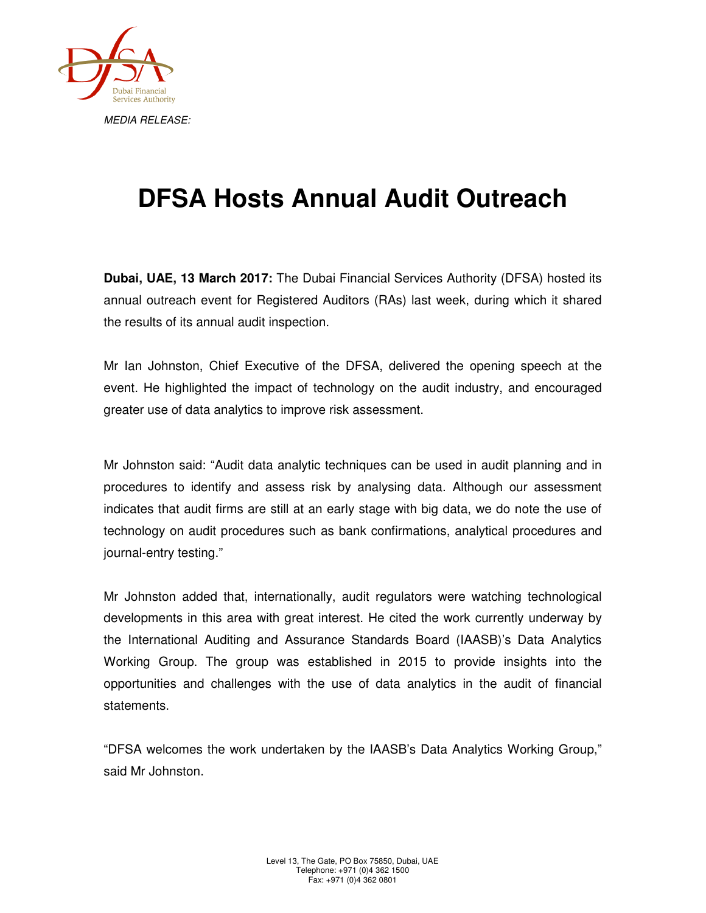

## **DFSA Hosts Annual Audit Outreach**

**Dubai, UAE, 13 March 2017:** The Dubai Financial Services Authority (DFSA) hosted its annual outreach event for Registered Auditors (RAs) last week, during which it shared the results of its annual audit inspection.

Mr Ian Johnston, Chief Executive of the DFSA, delivered the opening speech at the event. He highlighted the impact of technology on the audit industry, and encouraged greater use of data analytics to improve risk assessment.

Mr Johnston said: "Audit data analytic techniques can be used in audit planning and in procedures to identify and assess risk by analysing data. Although our assessment indicates that audit firms are still at an early stage with big data, we do note the use of technology on audit procedures such as bank confirmations, analytical procedures and journal-entry testing."

Mr Johnston added that, internationally, audit regulators were watching technological developments in this area with great interest. He cited the work currently underway by the International Auditing and Assurance Standards Board (IAASB)'s Data Analytics Working Group. The group was established in 2015 to provide insights into the opportunities and challenges with the use of data analytics in the audit of financial statements.

"DFSA welcomes the work undertaken by the IAASB's Data Analytics Working Group," said Mr Johnston.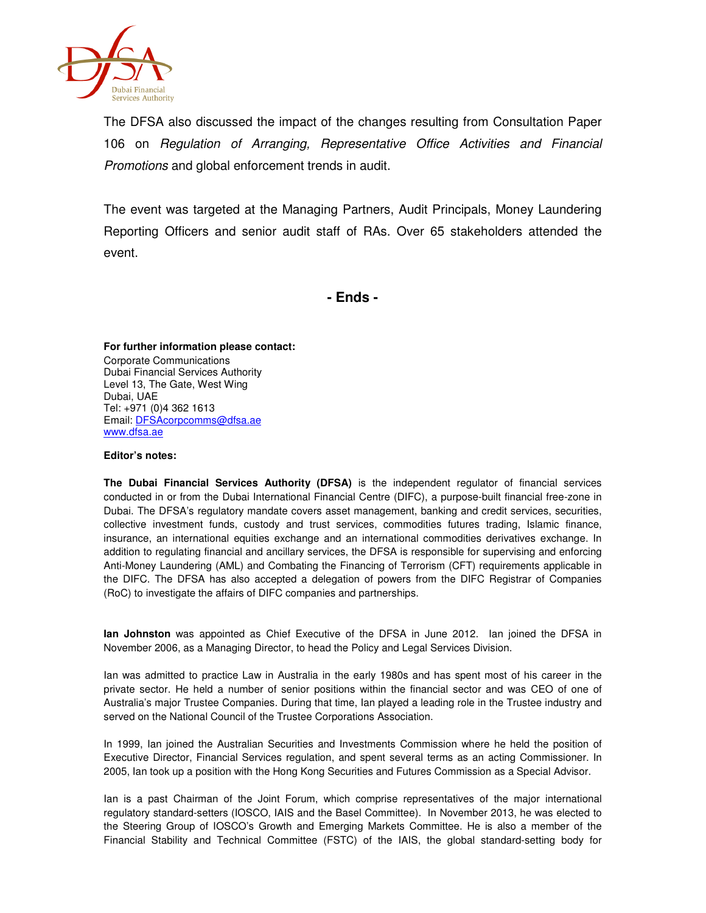

The DFSA also discussed the impact of the changes resulting from Consultation Paper 106 on Regulation of Arranging, Representative Office Activities and Financial Promotions and global enforcement trends in audit.

The event was targeted at the Managing Partners, Audit Principals, Money Laundering Reporting Officers and senior audit staff of RAs. Over 65 stakeholders attended the event.

**- Ends -**

**For further information please contact:**  Corporate Communications Dubai Financial Services Authority Level 13, The Gate, West Wing Dubai, UAE Tel: +971 (0)4 362 1613 Email: DFSAcorpcomms@dfsa.ae www.dfsa.ae

## **Editor's notes:**

**The Dubai Financial Services Authority (DFSA)** is the independent regulator of financial services conducted in or from the Dubai International Financial Centre (DIFC), a purpose-built financial free-zone in Dubai. The DFSA's regulatory mandate covers asset management, banking and credit services, securities, collective investment funds, custody and trust services, commodities futures trading, Islamic finance, insurance, an international equities exchange and an international commodities derivatives exchange. In addition to regulating financial and ancillary services, the DFSA is responsible for supervising and enforcing Anti-Money Laundering (AML) and Combating the Financing of Terrorism (CFT) requirements applicable in the DIFC. The DFSA has also accepted a delegation of powers from the DIFC Registrar of Companies (RoC) to investigate the affairs of DIFC companies and partnerships.

**Ian Johnston** was appointed as Chief Executive of the DFSA in June 2012. Ian joined the DFSA in November 2006, as a Managing Director, to head the Policy and Legal Services Division.

Ian was admitted to practice Law in Australia in the early 1980s and has spent most of his career in the private sector. He held a number of senior positions within the financial sector and was CEO of one of Australia's major Trustee Companies. During that time, Ian played a leading role in the Trustee industry and served on the National Council of the Trustee Corporations Association.

In 1999, Ian joined the Australian Securities and Investments Commission where he held the position of Executive Director, Financial Services regulation, and spent several terms as an acting Commissioner. In 2005, Ian took up a position with the Hong Kong Securities and Futures Commission as a Special Advisor.

Ian is a past Chairman of the Joint Forum, which comprise representatives of the major international regulatory standard-setters (IOSCO, IAIS and the Basel Committee). In November 2013, he was elected to the Steering Group of IOSCO's Growth and Emerging Markets Committee. He is also a member of the Financial Stability and Technical Committee (FSTC) of the IAIS, the global standard-setting body for